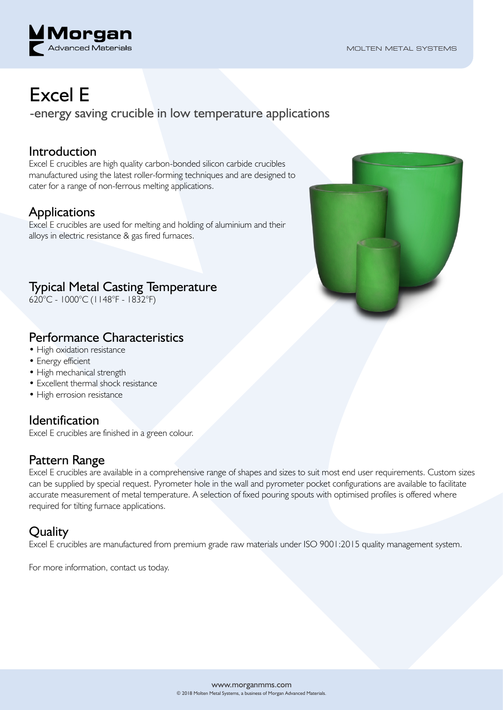

# Excel E

-energy saving crucible in low temperature applications

#### Introduction

Excel E crucibles are high quality carbon-bonded silicon carbide crucibles manufactured using the latest roller-forming techniques and are designed to cater for a range of non-ferrous melting applications.

#### Applications

Excel E crucibles are used for melting and holding of aluminium and their alloys in electric resistance & gas fired furnaces.

### Typical Metal Casting Temperature

620°C - 1000°C (1148°F - 1832°F)

#### Performance Characteristics

- High oxidation resistance
- Energy efficient
- High mechanical strength
- Excellent thermal shock resistance
- High errosion resistance

#### Identification

Excel E crucibles are finished in a green colour.

#### Pattern Range

Excel E crucibles are available in a comprehensive range of shapes and sizes to suit most end user requirements. Custom sizes can be supplied by special request. Pyrometer hole in the wall and pyrometer pocket configurations are available to facilitate accurate measurement of metal temperature. A selection of fixed pouring spouts with optimised profiles is offered where required for tilting furnace applications.

#### **Quality**

Excel E crucibles are manufactured from premium grade raw materials under ISO 9001:2015 quality management system.

For more information, contact us today.